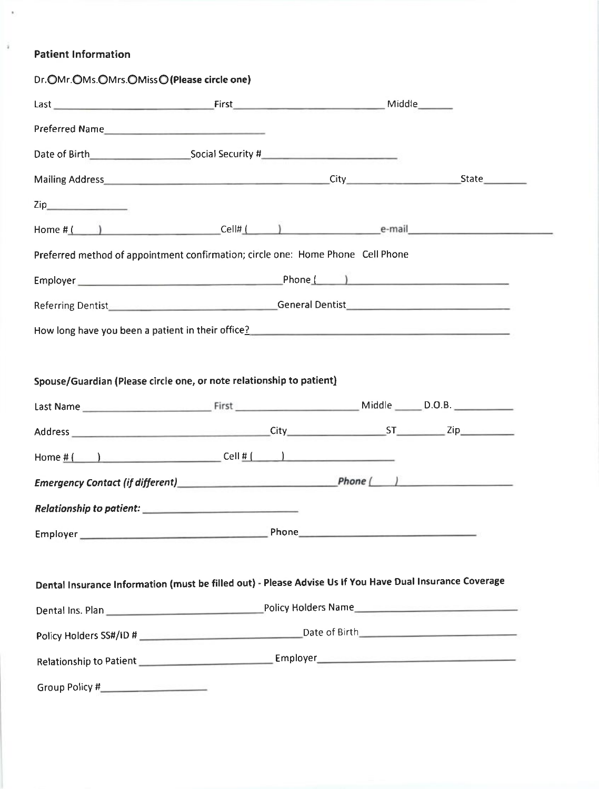# Patient lnformation

 $\bar{\epsilon}$ 

 $\bar{\imath}$ 

| Dr. OMr. OMs. OMrs. OMiss O (Please circle one)                                                          |                                                                                 |  |  |
|----------------------------------------------------------------------------------------------------------|---------------------------------------------------------------------------------|--|--|
| Last Middle Manual Accounts First Middle Middle Middle Middle Manual Accounts Middle                     |                                                                                 |  |  |
|                                                                                                          |                                                                                 |  |  |
| Date of Birth Social Security # 2006 CONDITION: 2007 2014 12:00:00 Social Security #                     |                                                                                 |  |  |
|                                                                                                          |                                                                                 |  |  |
|                                                                                                          |                                                                                 |  |  |
| Home $#($ $)$ Cell# $($ $)$ Cell# $)$ e-mail                                                             |                                                                                 |  |  |
| Preferred method of appointment confirmation; circle one: Home Phone Cell Phone                          |                                                                                 |  |  |
|                                                                                                          |                                                                                 |  |  |
|                                                                                                          |                                                                                 |  |  |
|                                                                                                          |                                                                                 |  |  |
|                                                                                                          |                                                                                 |  |  |
|                                                                                                          |                                                                                 |  |  |
| Spouse/Guardian (Please circle one, or note relationship to patient)                                     |                                                                                 |  |  |
|                                                                                                          |                                                                                 |  |  |
|                                                                                                          |                                                                                 |  |  |
|                                                                                                          |                                                                                 |  |  |
|                                                                                                          |                                                                                 |  |  |
| Relationship to patient:                                                                                 | and an experimental control of the first state of the control of the control of |  |  |
|                                                                                                          |                                                                                 |  |  |
|                                                                                                          |                                                                                 |  |  |
| Dental Insurance Information (must be filled out) - Please Advise Us If You Have Dual Insurance Coverage |                                                                                 |  |  |
|                                                                                                          |                                                                                 |  |  |
|                                                                                                          |                                                                                 |  |  |
|                                                                                                          |                                                                                 |  |  |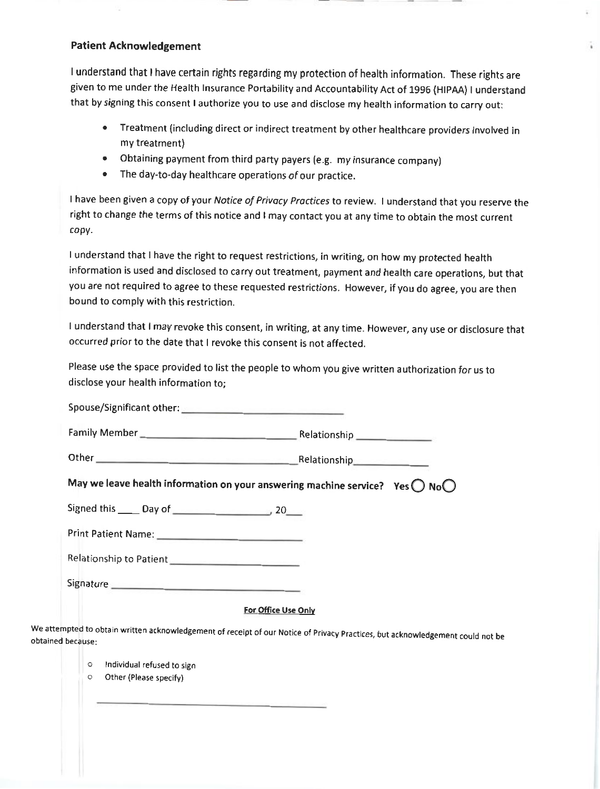## Patient Acknowledgement

I understand that I have certain rights regarding my protection of health information. These rights are Eiven to me under the Health lnsurance Portability and Accountability Act of 1996 (HIPAA) I understand that by signing this consent I authorize you to use and disclose my health information to carry out:

- . Treatment (including direct or indirect treatment by other healthcare providers involved in my treatment)
- . Obtaining payment from third party payers (e.g. my insurance company)
- . The day-to-day healthcare operations of our practice.

I have been given a copy of your Notice of Privacy Practices to review. I understand that you reserve the right to change the terms of this notice and I may contact you at any time to obtain the most current copy.

I understand that I have the right to request restrictions, in writing, on how my protected health information is used and disclosed to carry out treatment, payment and health care operations, but that you are not required to agree to these requested restrictions. However, if you do agree, you are then bound to comply with this restriction.

I understand that I may revoke this consent, in writing, at any time. However, any use or disclosure that occurred prior to the date that I revoke this consent is not affected.

Please use the space provided to list the people to whom you give written authorization for us to disclose your health information to;

| Spouse/Significant other: |                                                                                               |
|---------------------------|-----------------------------------------------------------------------------------------------|
|                           |                                                                                               |
|                           | Other Relationship Relationship                                                               |
|                           | May we leave health information on your answering machine service? Yes $\bigcap$ No $\bigcap$ |
|                           |                                                                                               |
|                           |                                                                                               |
| Relationship to Patient   |                                                                                               |
|                           |                                                                                               |
|                           | For Office Use Only                                                                           |

we attempted to obtain written acknowledgement of receipt of our Notice of Privacy Practices, but acknowledgement could not be obtained because:

- o lndividual refused to sign
- o Other (Please specify)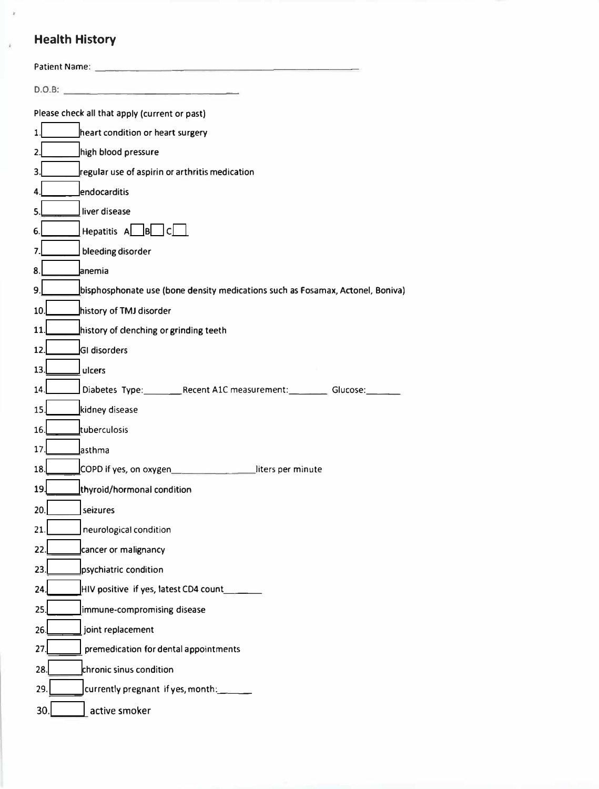# **Health History**

x

| Please check all that apply (current or past)                                        |
|--------------------------------------------------------------------------------------|
| heart condition or heart surgery<br>1.                                               |
| high blood pressure<br>2.                                                            |
| regular use of aspirin or arthritis medication<br>3.                                 |
| lendocarditis<br>4.                                                                  |
| liver disease<br>5.                                                                  |
| Hepatitis A. B.C.<br>6.                                                              |
| bleeding disorder<br>7.                                                              |
| anemia<br>8.                                                                         |
| bisphosphonate use (bone density medications such as Fosamax, Actonel, Boniva)<br>9. |
| history of TMJ disorder<br>10.                                                       |
| history of clenching or grinding teeth<br>11.                                        |
| 12.<br>GI disorders                                                                  |
| 13.<br>ulcers                                                                        |
| Diabetes Type: Recent A1C measurement: Glucose:<br>14.                               |
| 15.<br>kidney disease                                                                |
| tuberculosis<br>16.                                                                  |
| 17.<br>asthma                                                                        |
| COPD if yes, on oxygen<br>18.<br>liters per minute                                   |
| thyroid/hormonal condition<br>19.                                                    |
| 20.<br>seizures                                                                      |
| 21<br>neurological condition                                                         |
| 22.<br>cancer or malignancy                                                          |
| 23<br>psychiatric condition                                                          |
| HIV positive if yes, latest CD4 count_<br>24.                                        |
| 25.<br>immune-compromising disease                                                   |
| 26.<br>joint replacement                                                             |
| 27.<br>premedication for dental appointments                                         |
| 28.<br>chronic sinus condition                                                       |
| 29.<br>currently pregnant if yes, month:                                             |
| active smoker<br>30.                                                                 |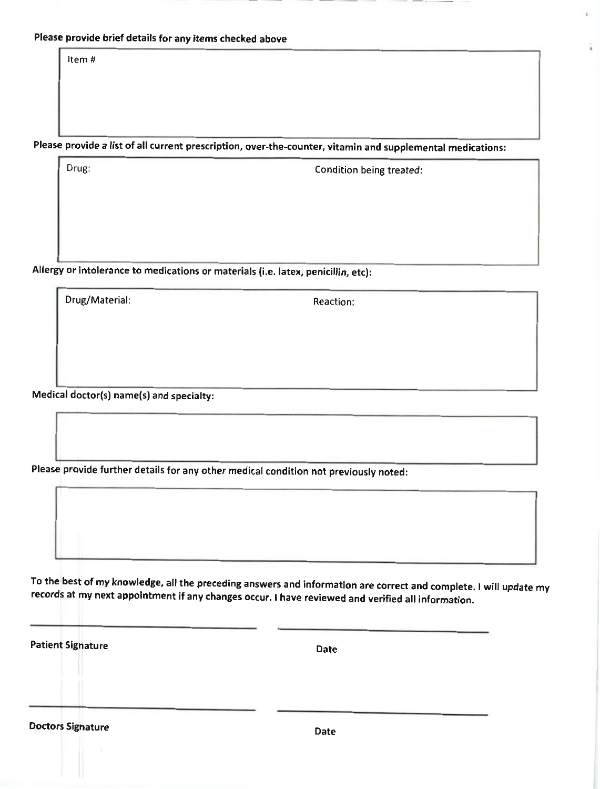Please provide brief details for any items checked above

Item #

Please provide a list of all current prescription, over-the-counter, vitamin and supplemental medications:

Drug: Condition being treated:

Allergy or intolerance to medications or materials (i.e. latex, penicillin, etc):

Drug/Material: Reaction:

Medical doctor(s) name(s) and specialty:

Please provide further details for any other medical condition not previously noted:

To the best of my knowledge, all the preceding answers and information are correct and complete. I will update my records at my next appointment if any changes occur. I have reviewed and verified all information.

Patient Signature Date

Doctors Signature Date Date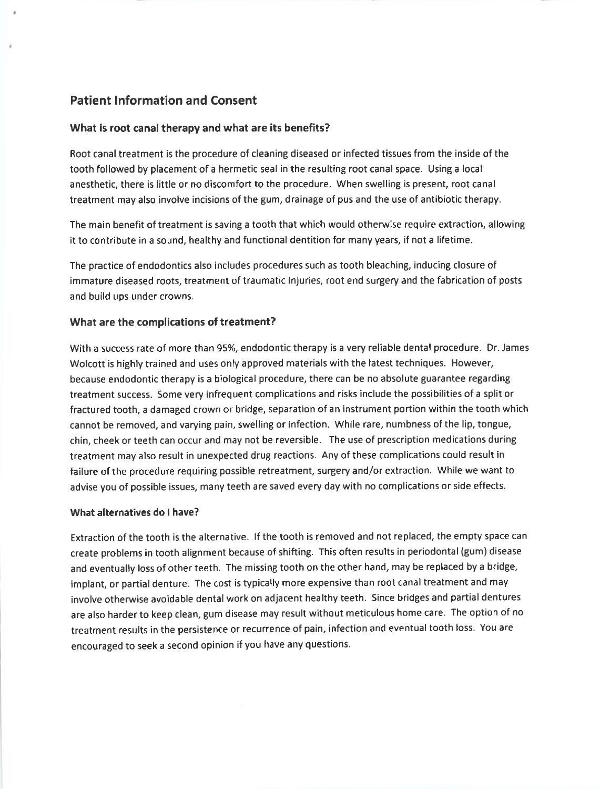# Patient lnformation and Consent

## What is root canal therapy and what are its benefits?

Root canal treatment is the procedure of cleaning diseased or infected tissues from the inside of the tooth followed by placement of a hermetic seal in the resulting root canal space. Using a local anesthetic, there is little or no discomfort to the procedure. when swelling is present, root canal treatment may also involve incisions of the gum, drainage of pus and the use of antibiotic therapy.

The main benefit of treatment is saving a tooth that which would otherwise require extraction, allowing it to contribute in a sound, healthy and functional dentition for many years, if not a lifetime.

The practice of endodontics also includes procedures such as tooth bleaching, inducing closure of immature diseased roots, treatment of traumatic injuries, root end surgery and the fabrication of posts and build ups under crowns.

## What are the complications of treatment?

With a success rate of more than 95%, endodontic therapy is a very reliable dental procedure. Dr. James Wolcott is highly trained and uses only approved materials with the latest techniques. However, because endodontic therapy is a biological procedure, there can be no absolute guarantee regarding treatment success. Some very infrequent complications and risks include the possibilities of a split or fractured tooth, a damaged crown or bridge, separation of an instrument portion within the tooth which cannot be removed, and varying pain, swelling or infection. While rare, numbness of the lip, tongue, chin, cheek or teeth can occur and may not be reversible. The use of prescription medications during treatment may also result in unexpected drug reactions. Any of these complications could result in failure of the procedure requiring possible retreatment, surgery and/or extraction. While we want to advise you of possible issues, many teeth are saved every day with no complications or side effects.

### what alternatives do I have?

Extraction of the tooth is the alternative. lf the tooth is removed and not replaced, the empty space can create problems in tooth alignment because of shifting. This often results in periodontal (gum) disease and eventually loss of other teeth. The missing tooth on the other hand, may be replaced by a bridge, implant, or partial denture. The cost is typically more expensive than root canal treatment and may involve otherwise avoidable dental work on adjacent healthy teeth. Since bridges and partial dentures are also harder to keep clean, gum disease may result without meticulous home care. The option of no treatment results in the persistence or recurrence of pain, infection and eventual tooth loss. You are encouraged to seek a second opinion if you have any questions.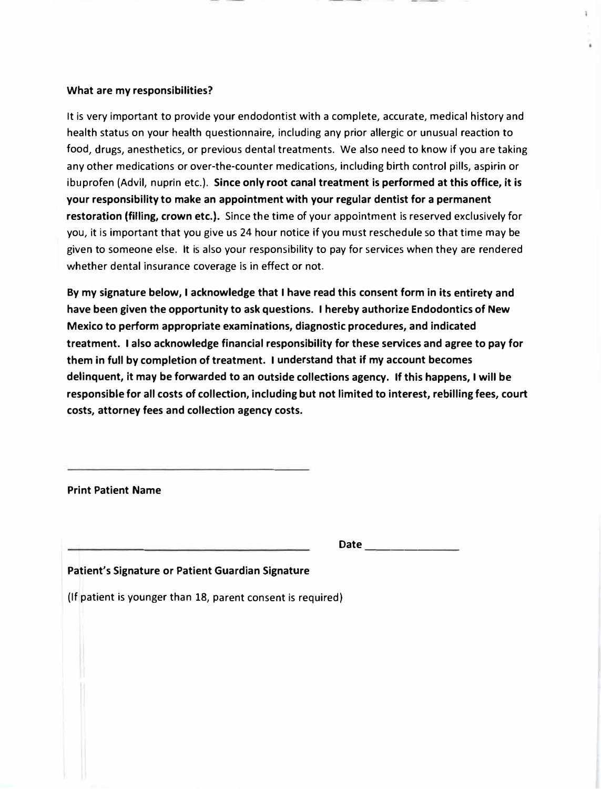## **What are my responsibilities?**

It is very important to provide your endodontist with a complete, accurate, medical history and health status on your health questionnaire, including any prior allergic or unusual reaction to food, drugs, anesthetics, or previous dental treatments. We also need to know if you are taking any other medications or over-the-counter medications, including birth control pills, aspirin or ibuprofen (Advil, nuprin etc.). **Since only root canal treatment is performed at this office, it** is **your responsibility to make an appointment with your regular dentist for a permanent restoration (filling, crown etc.).** Since the time of your appointment is reserved exclusively for you, it is important that you give us 24 hour notice if you must reschedule so that time may be given to someone else. It is also your responsibility to pay for services when they are rendered whether dental insurance coverage is in effect or not.

**By my signature below, I acknowledge that I have read this consent form in its entirety and have been given the opportunity to ask questions. I hereby authorize Endodontics of New Mexico to perform appropriate examinations, diagnostic procedures, and indicated treatment. I also acknowledge financial responsibility for these services and agree to pay for them in full by completion of treatment. I understand that if my account becomes delinquent, it may be forwarded to an outside collections agency. If this happens, I will be responsible for all costs of collection, including but not limited to interest, rebilling fees, court costs, attorney fees and collection agency costs.** 

**Print Patient Name** 

**Date \_\_\_\_\_\_ \_** 

**Patient's Signature or Patient Guardian Signature** 

(If patient is younger than 18, parent consent is required)